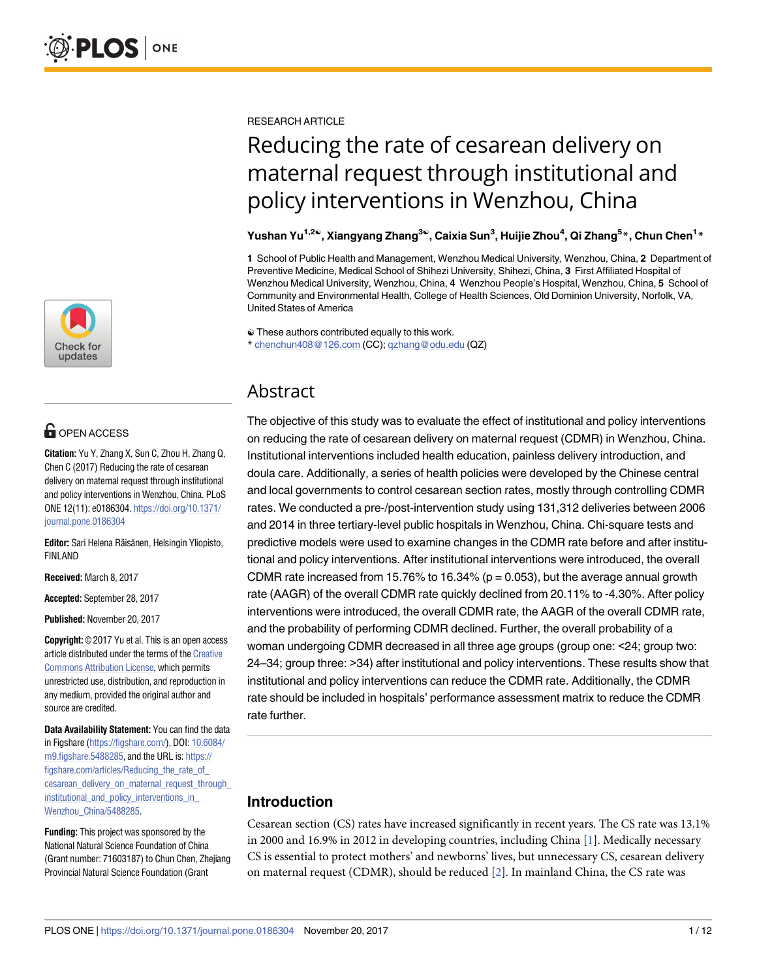

# **OPEN ACCESS**

**Citation:** Yu Y, Zhang X, Sun C, Zhou H, Zhang Q, Chen C (2017) Reducing the rate of cesarean delivery on maternal request through institutional and policy interventions in Wenzhou, China. PLoS ONE 12(11): e0186304. [https://doi.org/10.1371/](https://doi.org/10.1371/journal.pone.0186304) [journal.pone.0186304](https://doi.org/10.1371/journal.pone.0186304)

Editor: Sari Helena Räisänen, Helsingin Yliopisto, FINLAND

**Received:** March 8, 2017

**Accepted:** September 28, 2017

**Published:** November 20, 2017

**Copyright:** © 2017 Yu et al. This is an open access article distributed under the terms of the [Creative](http://creativecommons.org/licenses/by/4.0/) [Commons](http://creativecommons.org/licenses/by/4.0/) Attribution License, which permits unrestricted use, distribution, and reproduction in any medium, provided the original author and source are credited.

**Data Availability Statement:** You can find the data in Figshare [\(https://figshare.com/](https://figshare.com/)), DOI: [10.6084/](https://doi.org/10.6084/m9.figshare.5488285) [m9.figshare.5488285,](https://doi.org/10.6084/m9.figshare.5488285) and the URL is: [https://](https://figshare.com/articles/Reducing_the_rate_of_cesarean_delivery_on_maternal_request_through_institutional_and_policy_interventions_in_Wenzhou_China/5488285) [figshare.com/articles/Reducing\\_the\\_rate\\_of\\_](https://figshare.com/articles/Reducing_the_rate_of_cesarean_delivery_on_maternal_request_through_institutional_and_policy_interventions_in_Wenzhou_China/5488285) cesarean\_delivery\_on\_maternal\_request\_through [institutional\\_and\\_policy\\_interventions\\_in\\_](https://figshare.com/articles/Reducing_the_rate_of_cesarean_delivery_on_maternal_request_through_institutional_and_policy_interventions_in_Wenzhou_China/5488285) [Wenzhou\\_China/5488285.](https://figshare.com/articles/Reducing_the_rate_of_cesarean_delivery_on_maternal_request_through_institutional_and_policy_interventions_in_Wenzhou_China/5488285)

**Funding:** This project was sponsored by the National Natural Science Foundation of China (Grant number: 71603187) to Chun Chen, Zhejiang Provincial Natural Science Foundation (Grant

<span id="page-0-0"></span>RESEARCH ARTICLE

# Reducing the rate of cesarean delivery on maternal request through institutional and policy interventions in Wenzhou, China

#### Yushan Yu<sup>1,2e</sup>, Xiangyang Zhang<sup>3e</sup>, Caixia Sun<sup>3</sup>, Huijie Zhou<sup>4</sup>, Qi Zhang<sup>5</sup>\*, Chun Chen<sup>1</sup>\*

**1** School of Public Health and Management, Wenzhou Medical University, Wenzhou, China, **2** Department of Preventive Medicine, Medical School of Shihezi University, Shihezi, China, **3** First Affiliated Hospital of Wenzhou Medical University, Wenzhou, China, **4** Wenzhou People's Hospital, Wenzhou, China, **5** School of Community and Environmental Health, College of Health Sciences, Old Dominion University, Norfolk, VA, United States of America

☯ These authors contributed equally to this work. \* chenchun408@126.com (CC); qzhang@odu.edu (QZ)

## Abstract

The objective of this study was to evaluate the effect of institutional and policy interventions on reducing the rate of cesarean delivery on maternal request (CDMR) in Wenzhou, China. Institutional interventions included health education, painless delivery introduction, and doula care. Additionally, a series of health policies were developed by the Chinese central and local governments to control cesarean section rates, mostly through controlling CDMR rates. We conducted a pre-/post-intervention study using 131,312 deliveries between 2006 and 2014 in three tertiary-level public hospitals in Wenzhou, China. Chi-square tests and predictive models were used to examine changes in the CDMR rate before and after institutional and policy interventions. After institutional interventions were introduced, the overall CDMR rate increased from 15.76% to 16.34% ( $p = 0.053$ ), but the average annual growth rate (AAGR) of the overall CDMR rate quickly declined from 20.11% to -4.30%. After policy interventions were introduced, the overall CDMR rate, the AAGR of the overall CDMR rate, and the probability of performing CDMR declined. Further, the overall probability of a woman undergoing CDMR decreased in all three age groups (group one: <24; group two: 24–34; group three: >34) after institutional and policy interventions. These results show that institutional and policy interventions can reduce the CDMR rate. Additionally, the CDMR rate should be included in hospitals' performance assessment matrix to reduce the CDMR rate further.

## **Introduction**

Cesarean section (CS) rates have increased significantly in recent years. The CS rate was 13.1% in 2000 and 16.9% in 2012 in developing countries, including China [\[1](#page-9-0)]. Medically necessary CS is essential to protect mothers' and newborns' lives, but unnecessary CS, cesarean delivery on maternal request (CDMR), should be reduced [[2\]](#page-9-0). In mainland China, the CS rate was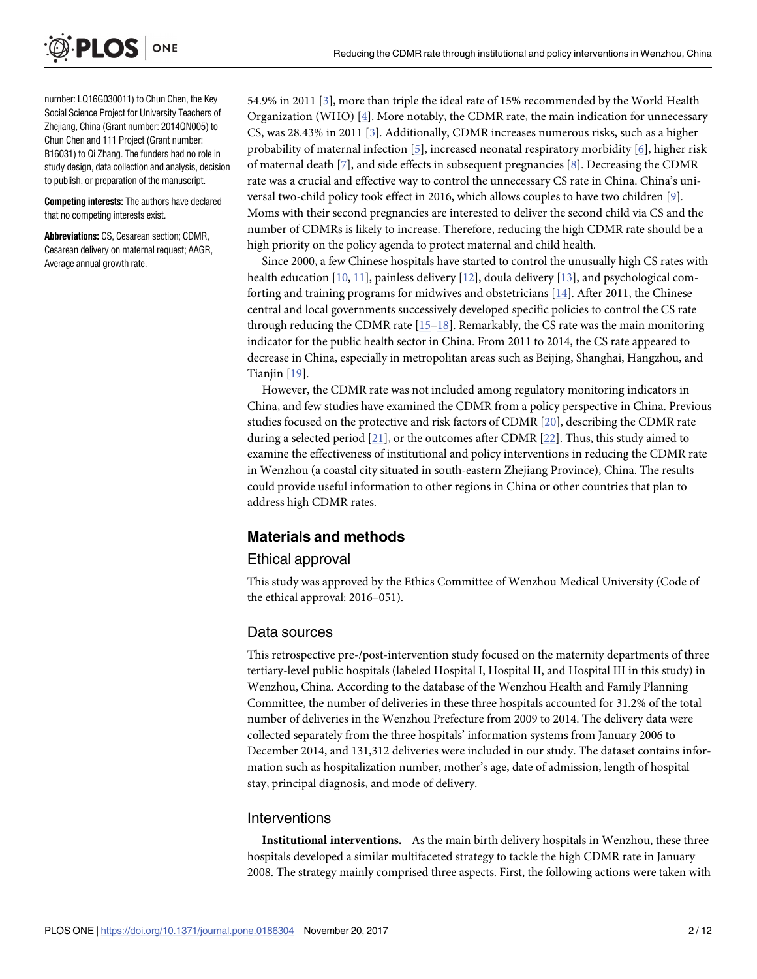<span id="page-1-0"></span>

number: LQ16G030011) to Chun Chen, the Key Social Science Project for University Teachers of Zhejiang, China (Grant number: 2014QN005) to Chun Chen and 111 Project (Grant number: B16031) to Qi Zhang. The funders had no role in study design, data collection and analysis, decision to publish, or preparation of the manuscript.

**Competing interests:** The authors have declared that no competing interests exist.

**Abbreviations:** CS, Cesarean section; CDMR, Cesarean delivery on maternal request; AAGR, Average annual growth rate.

54.9% in 2011 [\[3](#page-9-0)], more than triple the ideal rate of 15% recommended by the World Health Organization (WHO) [\[4](#page-9-0)]. More notably, the CDMR rate, the main indication for unnecessary CS, was 28.43% in 2011 [[3\]](#page-9-0). Additionally, CDMR increases numerous risks, such as a higher probability of maternal infection [\[5](#page-9-0)], increased neonatal respiratory morbidity [\[6](#page-9-0)], higher risk of maternal death [[7\]](#page-9-0), and side effects in subsequent pregnancies [[8\]](#page-9-0). Decreasing the CDMR rate was a crucial and effective way to control the unnecessary CS rate in China. China's universal two-child policy took effect in 2016, which allows couples to have two children [\[9](#page-10-0)]. Moms with their second pregnancies are interested to deliver the second child via CS and the number of CDMRs is likely to increase. Therefore, reducing the high CDMR rate should be a high priority on the policy agenda to protect maternal and child health.

Since 2000, a few Chinese hospitals have started to control the unusually high CS rates with health education [[10](#page-10-0), [11](#page-10-0)], painless delivery [\[12\]](#page-10-0), doula delivery [[13](#page-10-0)], and psychological comforting and training programs for midwives and obstetricians [[14](#page-10-0)]. After 2011, the Chinese central and local governments successively developed specific policies to control the CS rate through reducing the CDMR rate  $[15-18]$ . Remarkably, the CS rate was the main monitoring indicator for the public health sector in China. From 2011 to 2014, the CS rate appeared to decrease in China, especially in metropolitan areas such as Beijing, Shanghai, Hangzhou, and Tianjin [[19](#page-10-0)].

However, the CDMR rate was not included among regulatory monitoring indicators in China, and few studies have examined the CDMR from a policy perspective in China. Previous studies focused on the protective and risk factors of CDMR [[20\]](#page-10-0), describing the CDMR rate during a selected period [\[21\]](#page-10-0), or the outcomes after CDMR [\[22\]](#page-10-0). Thus, this study aimed to examine the effectiveness of institutional and policy interventions in reducing the CDMR rate in Wenzhou (a coastal city situated in south-eastern Zhejiang Province), China. The results could provide useful information to other regions in China or other countries that plan to address high CDMR rates.

#### **Materials and methods**

#### Ethical approval

This study was approved by the Ethics Committee of Wenzhou Medical University (Code of the ethical approval: 2016–051).

#### Data sources

This retrospective pre-/post-intervention study focused on the maternity departments of three tertiary-level public hospitals (labeled Hospital I, Hospital II, and Hospital III in this study) in Wenzhou, China. According to the database of the Wenzhou Health and Family Planning Committee, the number of deliveries in these three hospitals accounted for 31.2% of the total number of deliveries in the Wenzhou Prefecture from 2009 to 2014. The delivery data were collected separately from the three hospitals' information systems from January 2006 to December 2014, and 131,312 deliveries were included in our study. The dataset contains information such as hospitalization number, mother's age, date of admission, length of hospital stay, principal diagnosis, and mode of delivery.

#### Interventions

**Institutional interventions.** As the main birth delivery hospitals in Wenzhou, these three hospitals developed a similar multifaceted strategy to tackle the high CDMR rate in January 2008. The strategy mainly comprised three aspects. First, the following actions were taken with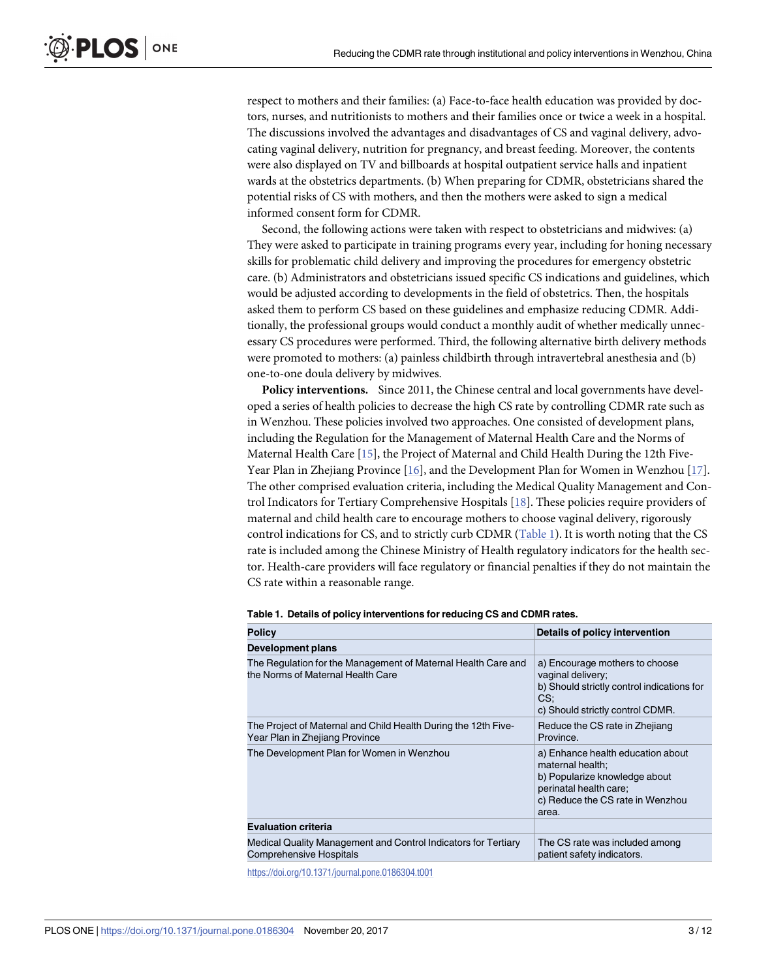<span id="page-2-0"></span>respect to mothers and their families: (a) Face-to-face health education was provided by doctors, nurses, and nutritionists to mothers and their families once or twice a week in a hospital. The discussions involved the advantages and disadvantages of CS and vaginal delivery, advocating vaginal delivery, nutrition for pregnancy, and breast feeding. Moreover, the contents were also displayed on TV and billboards at hospital outpatient service halls and inpatient wards at the obstetrics departments. (b) When preparing for CDMR, obstetricians shared the potential risks of CS with mothers, and then the mothers were asked to sign a medical informed consent form for CDMR.

Second, the following actions were taken with respect to obstetricians and midwives: (a) They were asked to participate in training programs every year, including for honing necessary skills for problematic child delivery and improving the procedures for emergency obstetric care. (b) Administrators and obstetricians issued specific CS indications and guidelines, which would be adjusted according to developments in the field of obstetrics. Then, the hospitals asked them to perform CS based on these guidelines and emphasize reducing CDMR. Additionally, the professional groups would conduct a monthly audit of whether medically unnecessary CS procedures were performed. Third, the following alternative birth delivery methods were promoted to mothers: (a) painless childbirth through intravertebral anesthesia and (b) one-to-one doula delivery by midwives.

**Policy interventions.** Since 2011, the Chinese central and local governments have developed a series of health policies to decrease the high CS rate by controlling CDMR rate such as in Wenzhou. These policies involved two approaches. One consisted of development plans, including the Regulation for the Management of Maternal Health Care and the Norms of Maternal Health Care [\[15\]](#page-10-0), the Project of Maternal and Child Health During the 12th Five-Year Plan in Zhejiang Province [[16](#page-10-0)], and the Development Plan for Women in Wenzhou [\[17\]](#page-10-0). The other comprised evaluation criteria, including the Medical Quality Management and Control Indicators for Tertiary Comprehensive Hospitals [\[18\]](#page-10-0). These policies require providers of maternal and child health care to encourage mothers to choose vaginal delivery, rigorously control indications for CS, and to strictly curb CDMR (Table 1). It is worth noting that the CS rate is included among the Chinese Ministry of Health regulatory indicators for the health sector. Health-care providers will face regulatory or financial penalties if they do not maintain the CS rate within a reasonable range.

| <b>Policy</b>                                                                                      | Details of policy intervention                                                                                                                                |
|----------------------------------------------------------------------------------------------------|---------------------------------------------------------------------------------------------------------------------------------------------------------------|
| Development plans                                                                                  |                                                                                                                                                               |
| The Regulation for the Management of Maternal Health Care and<br>the Norms of Maternal Health Care | a) Encourage mothers to choose<br>vaginal delivery;<br>b) Should strictly control indications for<br>CS:<br>c) Should strictly control CDMR.                  |
| The Project of Maternal and Child Health During the 12th Five-<br>Year Plan in Zhejiang Province   | Reduce the CS rate in Zhejiang<br>Province.                                                                                                                   |
| The Development Plan for Women in Wenzhou                                                          | a) Enhance health education about<br>maternal health:<br>b) Popularize knowledge about<br>perinatal health care;<br>c) Reduce the CS rate in Wenzhou<br>area. |
| <b>Evaluation criteria</b>                                                                         |                                                                                                                                                               |
| Medical Quality Management and Control Indicators for Tertiary<br><b>Comprehensive Hospitals</b>   | The CS rate was included among<br>patient safety indicators.                                                                                                  |

**Table 1. Details of policy interventions for reducing CS and CDMR rates.**

<https://doi.org/10.1371/journal.pone.0186304.t001>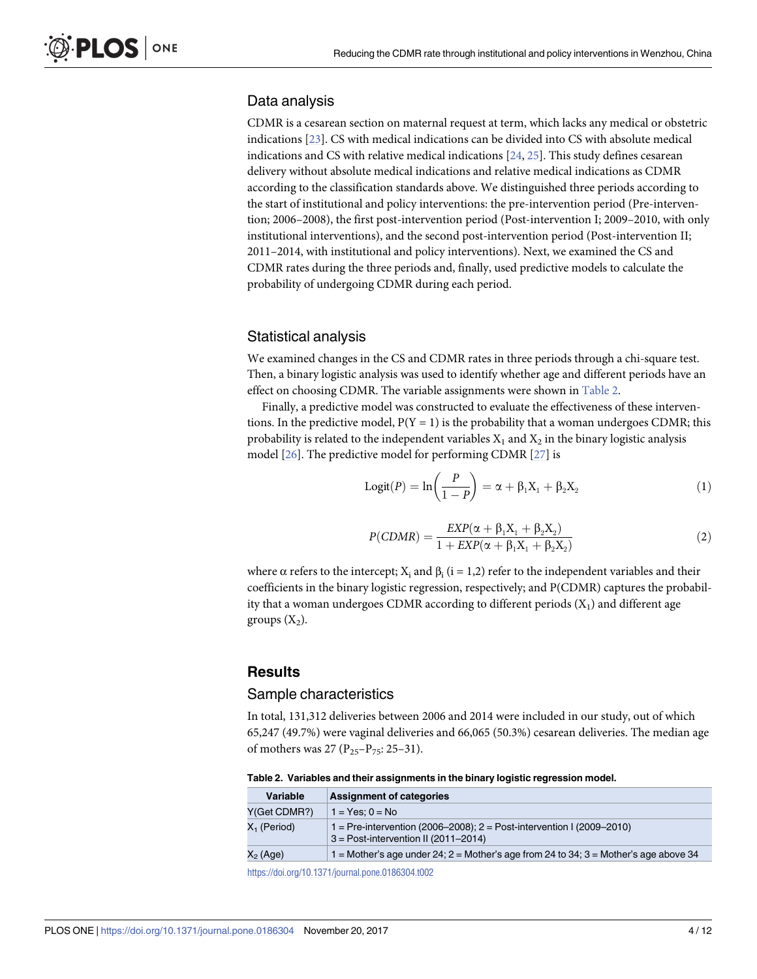## <span id="page-3-0"></span>Data analysis

CDMR is a cesarean section on maternal request at term, which lacks any medical or obstetric indications [\[23\]](#page-10-0). CS with medical indications can be divided into CS with absolute medical indications and CS with relative medical indications  $[24, 25]$  $[24, 25]$  $[24, 25]$  $[24, 25]$  $[24, 25]$ . This study defines cesarean delivery without absolute medical indications and relative medical indications as CDMR according to the classification standards above. We distinguished three periods according to the start of institutional and policy interventions: the pre-intervention period (Pre-intervention; 2006–2008), the first post-intervention period (Post-intervention I; 2009–2010, with only institutional interventions), and the second post-intervention period (Post-intervention II; 2011–2014, with institutional and policy interventions). Next, we examined the CS and CDMR rates during the three periods and, finally, used predictive models to calculate the probability of undergoing CDMR during each period.

## Statistical analysis

We examined changes in the CS and CDMR rates in three periods through a chi-square test. Then, a binary logistic analysis was used to identify whether age and different periods have an effect on choosing CDMR. The variable assignments were shown in Table 2.

Finally, a predictive model was constructed to evaluate the effectiveness of these interventions. In the predictive model,  $P(Y = 1)$  is the probability that a woman undergoes CDMR; this probability is related to the independent variables  $X_1$  and  $X_2$  in the binary logistic analysis model [[26](#page-10-0)]. The predictive model for performing CDMR [\[27\]](#page-10-0) is

$$
Logit(P) = ln\left(\frac{P}{1 - P}\right) = \alpha + \beta_1 X_1 + \beta_2 X_2
$$
\n(1)

$$
P(CDMR) = \frac{EXP(\alpha + \beta_1 X_1 + \beta_2 X_2)}{1 + EXP(\alpha + \beta_1 X_1 + \beta_2 X_2)}
$$
(2)

where  $\alpha$  refers to the intercept; X<sub>i</sub> and  $\beta$ <sub>i</sub> (i = 1,2) refer to the independent variables and their coefficients in the binary logistic regression, respectively; and P(CDMR) captures the probability that a woman undergoes CDMR according to different periods  $(X_1)$  and different age groups  $(X_2)$ .

## **Results**

#### Sample characteristics

In total, 131,312 deliveries between 2006 and 2014 were included in our study, out of which 65,247 (49.7%) were vaginal deliveries and 66,065 (50.3%) cesarean deliveries. The median age of mothers was 27 ( $P_{25}-P_{75}$ : 25–31).

**Table 2. Variables and their assignments in the binary logistic regression model.**

| Variable       | <b>Assignment of categories</b>                                                                                     |
|----------------|---------------------------------------------------------------------------------------------------------------------|
| Y(Get CDMR?)   | $1 = Yes: 0 = No$                                                                                                   |
| $X_1$ (Period) | 1 = Pre-intervention (2006–2008); $2 =$ Post-intervention I (2009–2010)<br>$3 = Post-intervention II (2011 - 2014)$ |
| $X_2$ (Age)    | $1 =$ Mother's age under 24; $2 =$ Mother's age from 24 to 34; $3 =$ Mother's age above 34                          |
|                |                                                                                                                     |

<https://doi.org/10.1371/journal.pone.0186304.t002>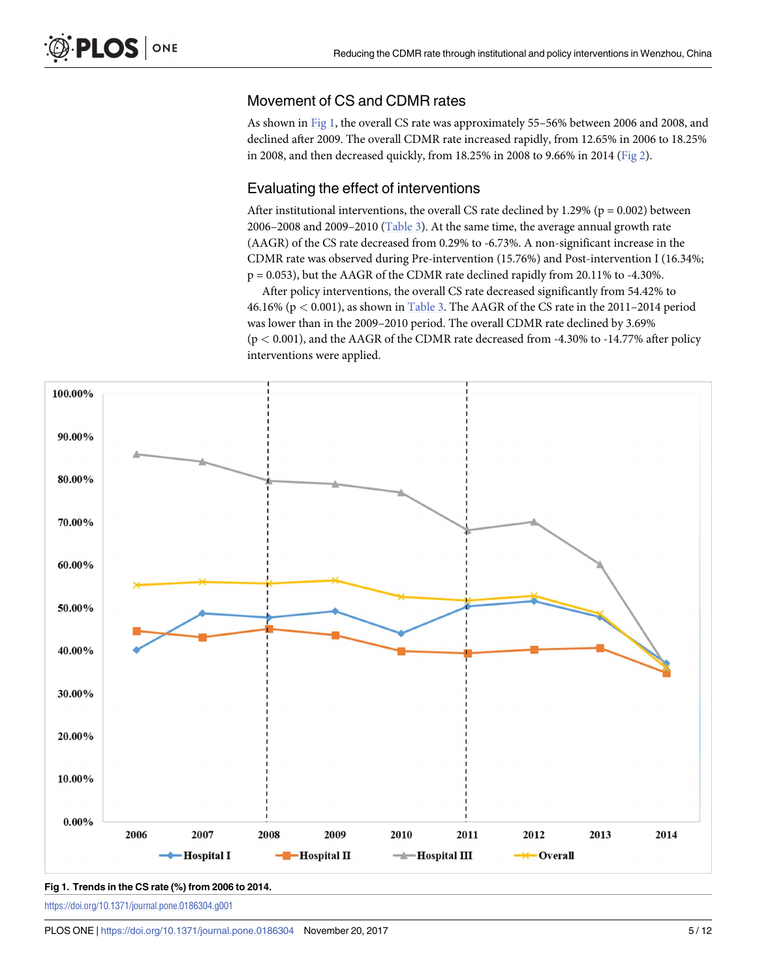## <span id="page-4-0"></span>Movement of CS and CDMR rates

As shown in Fig 1, the overall CS rate was approximately 55–56% between 2006 and 2008, and declined after 2009. The overall CDMR rate increased rapidly, from 12.65% in 2006 to 18.25% in 2008, and then decreased quickly, from 18.25% in 2008 to 9.66% in 2014 ([Fig](#page-5-0) 2).

## Evaluating the effect of interventions

After institutional interventions, the overall CS rate declined by 1.29% ( $p = 0.002$ ) between 2006–2008 and 2009–2010 ([Table](#page-6-0) 3). At the same time, the average annual growth rate (AAGR) of the CS rate decreased from 0.29% to -6.73%. A non-significant increase in the CDMR rate was observed during Pre-intervention (15.76%) and Post-intervention I (16.34%; p = 0.053), but the AAGR of the CDMR rate declined rapidly from 20.11% to -4.30%.

After policy interventions, the overall CS rate decreased significantly from 54.42% to 46.16% (p *<* 0.001), as shown in [Table](#page-6-0) 3. The AAGR of the CS rate in the 2011–2014 period was lower than in the 2009–2010 period. The overall CDMR rate declined by 3.69% (p *<* 0.001), and the AAGR of the CDMR rate decreased from -4.30% to -14.77% after policy interventions were applied.



**Fig 1. Trends in the CS rate (%) from 2006 to 2014.**

<https://doi.org/10.1371/journal.pone.0186304.g001>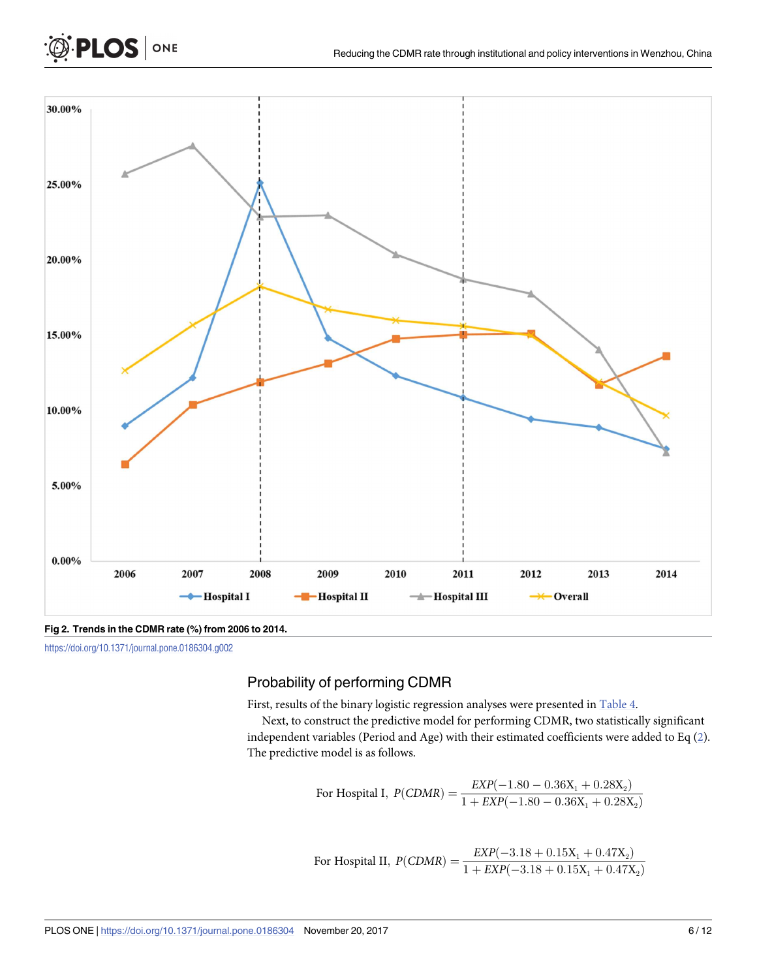<span id="page-5-0"></span>

**[Fig](#page-4-0) 2. Trends in the CDMR rate (%) from 2006 to 2014.**

<https://doi.org/10.1371/journal.pone.0186304.g002>

## Probability of performing CDMR

First, results of the binary logistic regression analyses were presented in [Table](#page-6-0) 4.

Next, to construct the predictive model for performing CDMR, two statistically significant independent variables (Period and Age) with their estimated coefficients were added to Eq [\(2](#page-3-0)). The predictive model is as follows.

For Hospital I, 
$$
P(CDMR) = \frac{EXP(-1.80 - 0.36X_1 + 0.28X_2)}{1 + EXP(-1.80 - 0.36X_1 + 0.28X_2)}
$$

For Hospital II, 
$$
P(CDMR) = \frac{EXP(-3.18 + 0.15X_1 + 0.47X_2)}{1 + EXP(-3.18 + 0.15X_1 + 0.47X_2)}
$$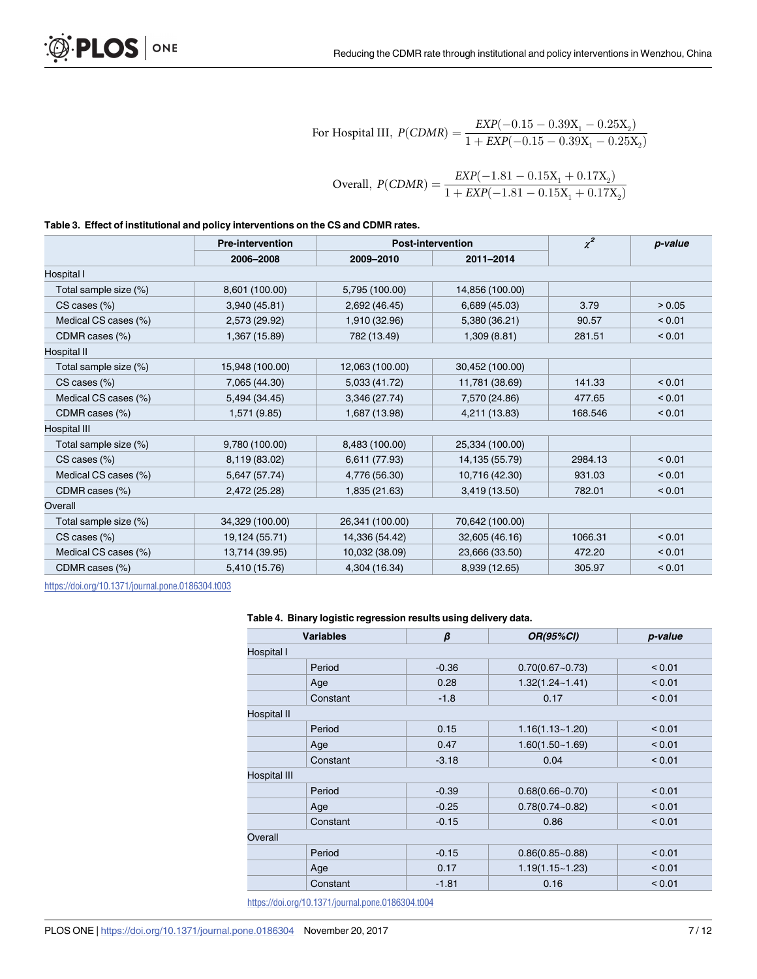For Hospital III, 
$$
P(CDMR) = \frac{EXP(-0.15 - 0.39X_1 - 0.25X_2)}{1 + EXP(-0.15 - 0.39X_1 - 0.25X_2)}
$$
  
Overall,  $P(CDMR) = \frac{EXP(-1.81 - 0.15X_1 + 0.17X_2)}{1 + EXP(-1.81 - 0.15X_1 + 0.17X_2)}$ 

#### <span id="page-6-0"></span>**[Table](#page-4-0) 3. Effect of institutional and policy interventions on the CS and CDMR rates.**

|                       | <b>Pre-intervention</b> | <b>Post-intervention</b> |                 | $\chi^2$ | p-value |  |
|-----------------------|-------------------------|--------------------------|-----------------|----------|---------|--|
|                       | 2006-2008               | 2009-2010                | 2011-2014       |          |         |  |
| Hospital I            |                         |                          |                 |          |         |  |
| Total sample size (%) | 8,601 (100.00)          | 5,795 (100.00)           | 14,856 (100.00) |          |         |  |
| $CS$ cases $(\%)$     | 3,940 (45.81)           | 2,692 (46.45)            | 6,689 (45.03)   | 3.79     | > 0.05  |  |
| Medical CS cases (%)  | 2,573 (29.92)           | 1,910 (32.96)            | 5,380 (36.21)   | 90.57    | < 0.01  |  |
| CDMR cases (%)        | 1,367 (15.89)           | 782 (13.49)              | 1,309(8.81)     | 281.51   | < 0.01  |  |
| Hospital II           |                         |                          |                 |          |         |  |
| Total sample size (%) | 15,948 (100.00)         | 12,063 (100.00)          | 30,452 (100.00) |          |         |  |
| $CS$ cases $(\%)$     | 7,065 (44.30)           | 5,033 (41.72)            | 11,781 (38.69)  | 141.33   | < 0.01  |  |
| Medical CS cases (%)  | 5,494 (34.45)           | 3,346 (27.74)            | 7,570 (24.86)   | 477.65   | < 0.01  |  |
| CDMR cases (%)        | 1,571 (9.85)            | 1,687 (13.98)            | 4,211 (13.83)   | 168.546  | < 0.01  |  |
| Hospital III          |                         |                          |                 |          |         |  |
| Total sample size (%) | 9,780 (100.00)          | 8,483 (100.00)           | 25,334 (100.00) |          |         |  |
| $CS$ cases $(\%)$     | 8,119 (83.02)           | 6,611 (77.93)            | 14, 135 (55.79) | 2984.13  | < 0.01  |  |
| Medical CS cases (%)  | 5,647 (57.74)           | 4,776 (56.30)            | 10,716 (42.30)  | 931.03   | < 0.01  |  |
| CDMR cases (%)        | 2,472 (25.28)           | 1,835 (21.63)            | 3,419 (13.50)   | 782.01   | < 0.01  |  |
| Overall               |                         |                          |                 |          |         |  |
| Total sample size (%) | 34,329 (100.00)         | 26,341 (100.00)          | 70,642 (100.00) |          |         |  |
| $CS$ cases $(\%)$     | 19,124 (55.71)          | 14,336 (54.42)           | 32,605 (46.16)  | 1066.31  | < 0.01  |  |
| Medical CS cases (%)  | 13,714 (39.95)          | 10,032 (38.09)           | 23,666 (33.50)  | 472.20   | < 0.01  |  |
| CDMR cases (%)        | 5,410 (15.76)           | 4,304 (16.34)            | 8,939 (12.65)   | 305.97   | < 0.01  |  |

<https://doi.org/10.1371/journal.pone.0186304.t003>

#### **[Table](#page-5-0) 4. Binary logistic regression results using delivery data.**

| <b>Variables</b> | $\beta$ | <b>OR(95%CI)</b>    | p-value |  |  |
|------------------|---------|---------------------|---------|--|--|
| Hospital I       |         |                     |         |  |  |
| Period           | $-0.36$ | $0.70(0.67 - 0.73)$ | < 0.01  |  |  |
| Age              | 0.28    | $1.32(1.24 - 1.41)$ | < 0.01  |  |  |
| Constant         | $-1.8$  | 0.17                | < 0.01  |  |  |
| Hospital II      |         |                     |         |  |  |
| Period           | 0.15    | $1.16(1.13 - 1.20)$ | < 0.01  |  |  |
| Age              | 0.47    | $1.60(1.50 - 1.69)$ | < 0.01  |  |  |
| Constant         | $-3.18$ | 0.04                | < 0.01  |  |  |
| Hospital III     |         |                     |         |  |  |
| Period           | $-0.39$ | $0.68(0.66 - 0.70)$ | < 0.01  |  |  |
| Age              | $-0.25$ | $0.78(0.74 - 0.82)$ | < 0.01  |  |  |
| Constant         | $-0.15$ | 0.86                | < 0.01  |  |  |
| Overall          |         |                     |         |  |  |
| Period           | $-0.15$ | $0.86(0.85 - 0.88)$ | < 0.01  |  |  |
| Age              | 0.17    | $1.19(1.15 - 1.23)$ | < 0.01  |  |  |
| Constant         | $-1.81$ | 0.16                | < 0.01  |  |  |

<https://doi.org/10.1371/journal.pone.0186304.t004>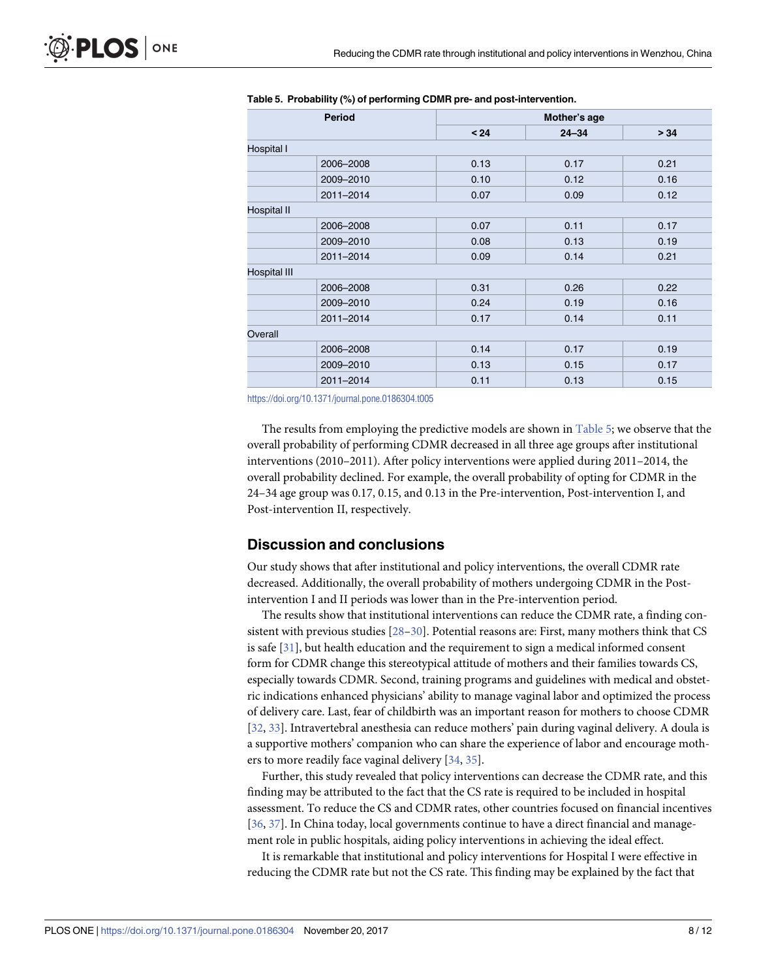| <b>Period</b>       | Mother's age |           |      |  |  |
|---------------------|--------------|-----------|------|--|--|
|                     | $24$         | $24 - 34$ | > 34 |  |  |
| Hospital I          |              |           |      |  |  |
| 2006-2008           | 0.13         | 0.17      | 0.21 |  |  |
| 2009-2010           | 0.10         | 0.12      | 0.16 |  |  |
| 2011-2014           | 0.07         | 0.09      | 0.12 |  |  |
| Hospital II         |              |           |      |  |  |
| 2006-2008           | 0.07         | 0.11      | 0.17 |  |  |
| 2009-2010           | 0.08         | 0.13      | 0.19 |  |  |
| 2011-2014           | 0.09         | 0.14      | 0.21 |  |  |
| <b>Hospital III</b> |              |           |      |  |  |
| 2006-2008           | 0.31         | 0.26      | 0.22 |  |  |
| 2009-2010           | 0.24         | 0.19      | 0.16 |  |  |
| 2011-2014           | 0.17         | 0.14      | 0.11 |  |  |
| Overall             |              |           |      |  |  |
| 2006-2008           | 0.14         | 0.17      | 0.19 |  |  |
| 2009-2010           | 0.13         | 0.15      | 0.17 |  |  |
| 2011-2014           | 0.11         | 0.13      | 0.15 |  |  |

#### <span id="page-7-0"></span>**Table 5. Probability (%) of performing CDMR pre- and post-intervention.**

<https://doi.org/10.1371/journal.pone.0186304.t005>

The results from employing the predictive models are shown in Table 5; we observe that the overall probability of performing CDMR decreased in all three age groups after institutional interventions (2010–2011). After policy interventions were applied during 2011–2014, the overall probability declined. For example, the overall probability of opting for CDMR in the 24–34 age group was 0.17, 0.15, and 0.13 in the Pre-intervention, Post-intervention I, and Post-intervention II, respectively.

#### **Discussion and conclusions**

Our study shows that after institutional and policy interventions, the overall CDMR rate decreased. Additionally, the overall probability of mothers undergoing CDMR in the Postintervention I and II periods was lower than in the Pre-intervention period.

The results show that institutional interventions can reduce the CDMR rate, a finding consistent with previous studies [[28–30\]](#page-10-0). Potential reasons are: First, many mothers think that CS is safe [\[31\]](#page-11-0), but health education and the requirement to sign a medical informed consent form for CDMR change this stereotypical attitude of mothers and their families towards CS, especially towards CDMR. Second, training programs and guidelines with medical and obstetric indications enhanced physicians' ability to manage vaginal labor and optimized the process of delivery care. Last, fear of childbirth was an important reason for mothers to choose CDMR [\[32,](#page-11-0) [33\]](#page-11-0). Intravertebral anesthesia can reduce mothers' pain during vaginal delivery. A doula is a supportive mothers' companion who can share the experience of labor and encourage mothers to more readily face vaginal delivery [[34](#page-11-0), [35](#page-11-0)].

Further, this study revealed that policy interventions can decrease the CDMR rate, and this finding may be attributed to the fact that the CS rate is required to be included in hospital assessment. To reduce the CS and CDMR rates, other countries focused on financial incentives [\[36,](#page-11-0) [37\]](#page-11-0). In China today, local governments continue to have a direct financial and management role in public hospitals, aiding policy interventions in achieving the ideal effect.

It is remarkable that institutional and policy interventions for Hospital I were effective in reducing the CDMR rate but not the CS rate. This finding may be explained by the fact that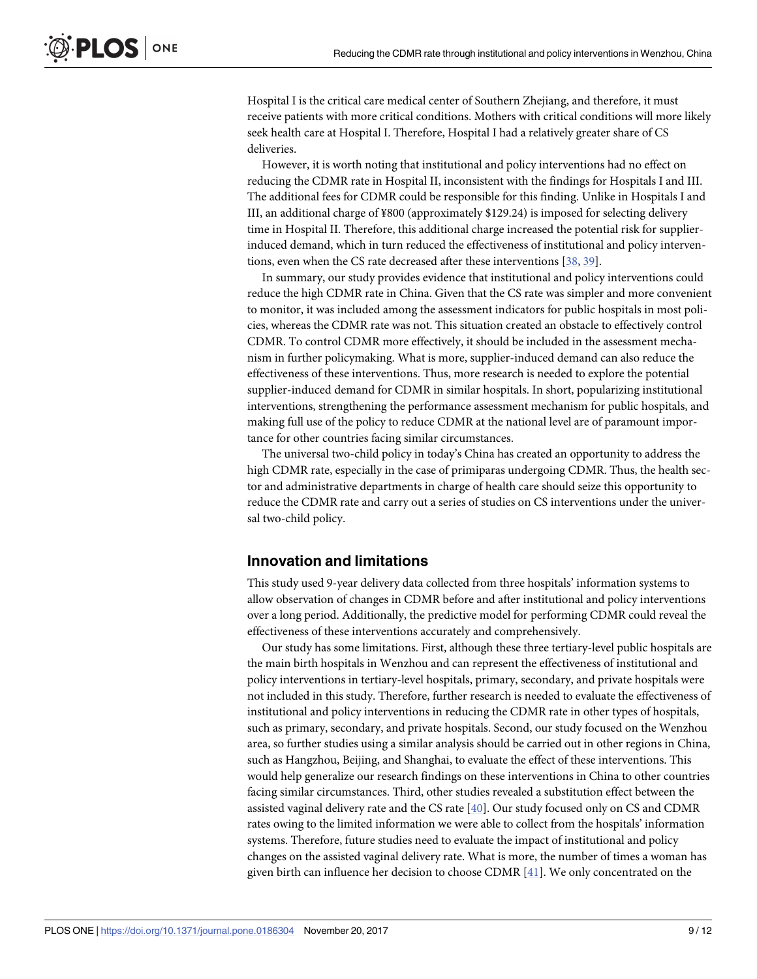<span id="page-8-0"></span>Hospital I is the critical care medical center of Southern Zhejiang, and therefore, it must receive patients with more critical conditions. Mothers with critical conditions will more likely seek health care at Hospital I. Therefore, Hospital I had a relatively greater share of CS deliveries.

However, it is worth noting that institutional and policy interventions had no effect on reducing the CDMR rate in Hospital II, inconsistent with the findings for Hospitals I and III. The additional fees for CDMR could be responsible for this finding. Unlike in Hospitals I and III, an additional charge of ¥800 (approximately \$129.24) is imposed for selecting delivery time in Hospital II. Therefore, this additional charge increased the potential risk for supplierinduced demand, which in turn reduced the effectiveness of institutional and policy interventions, even when the CS rate decreased after these interventions [[38](#page-11-0), [39](#page-11-0)].

In summary, our study provides evidence that institutional and policy interventions could reduce the high CDMR rate in China. Given that the CS rate was simpler and more convenient to monitor, it was included among the assessment indicators for public hospitals in most policies, whereas the CDMR rate was not. This situation created an obstacle to effectively control CDMR. To control CDMR more effectively, it should be included in the assessment mechanism in further policymaking. What is more, supplier-induced demand can also reduce the effectiveness of these interventions. Thus, more research is needed to explore the potential supplier-induced demand for CDMR in similar hospitals. In short, popularizing institutional interventions, strengthening the performance assessment mechanism for public hospitals, and making full use of the policy to reduce CDMR at the national level are of paramount importance for other countries facing similar circumstances.

The universal two-child policy in today's China has created an opportunity to address the high CDMR rate, especially in the case of primiparas undergoing CDMR. Thus, the health sector and administrative departments in charge of health care should seize this opportunity to reduce the CDMR rate and carry out a series of studies on CS interventions under the universal two-child policy.

#### **Innovation and limitations**

This study used 9-year delivery data collected from three hospitals' information systems to allow observation of changes in CDMR before and after institutional and policy interventions over a long period. Additionally, the predictive model for performing CDMR could reveal the effectiveness of these interventions accurately and comprehensively.

Our study has some limitations. First, although these three tertiary-level public hospitals are the main birth hospitals in Wenzhou and can represent the effectiveness of institutional and policy interventions in tertiary-level hospitals, primary, secondary, and private hospitals were not included in this study. Therefore, further research is needed to evaluate the effectiveness of institutional and policy interventions in reducing the CDMR rate in other types of hospitals, such as primary, secondary, and private hospitals. Second, our study focused on the Wenzhou area, so further studies using a similar analysis should be carried out in other regions in China, such as Hangzhou, Beijing, and Shanghai, to evaluate the effect of these interventions. This would help generalize our research findings on these interventions in China to other countries facing similar circumstances. Third, other studies revealed a substitution effect between the assisted vaginal delivery rate and the CS rate [\[40\]](#page-11-0). Our study focused only on CS and CDMR rates owing to the limited information we were able to collect from the hospitals' information systems. Therefore, future studies need to evaluate the impact of institutional and policy changes on the assisted vaginal delivery rate. What is more, the number of times a woman has given birth can influence her decision to choose CDMR [[41](#page-11-0)]. We only concentrated on the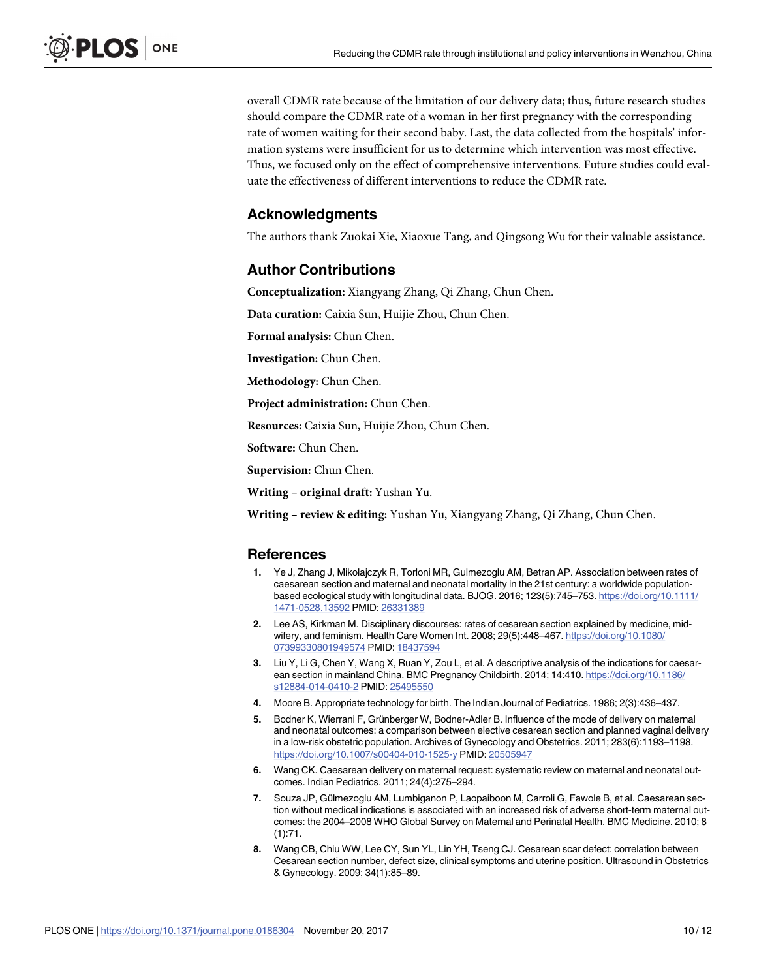<span id="page-9-0"></span>overall CDMR rate because of the limitation of our delivery data; thus, future research studies should compare the CDMR rate of a woman in her first pregnancy with the corresponding rate of women waiting for their second baby. Last, the data collected from the hospitals' information systems were insufficient for us to determine which intervention was most effective. Thus, we focused only on the effect of comprehensive interventions. Future studies could evaluate the effectiveness of different interventions to reduce the CDMR rate.

#### **Acknowledgments**

The authors thank Zuokai Xie, Xiaoxue Tang, and Qingsong Wu for their valuable assistance.

#### **Author Contributions**

**Conceptualization:** Xiangyang Zhang, Qi Zhang, Chun Chen.

**Data curation:** Caixia Sun, Huijie Zhou, Chun Chen.

**Formal analysis:** Chun Chen.

**Investigation:** Chun Chen.

**Methodology:** Chun Chen.

**Project administration:** Chun Chen.

**Resources:** Caixia Sun, Huijie Zhou, Chun Chen.

**Software:** Chun Chen.

**Supervision:** Chun Chen.

**Writing – original draft:** Yushan Yu.

**Writing – review & editing:** Yushan Yu, Xiangyang Zhang, Qi Zhang, Chun Chen.

#### **References**

- **[1](#page-0-0).** Ye J, Zhang J, Mikolajczyk R, Torloni MR, Gulmezoglu AM, Betran AP. Association between rates of caesarean section and maternal and neonatal mortality in the 21st century: a worldwide populationbased ecological study with longitudinal data. BJOG. 2016; 123(5):745–753. [https://doi.org/10.1111/](https://doi.org/10.1111/1471-0528.13592) [1471-0528.13592](https://doi.org/10.1111/1471-0528.13592) PMID: [26331389](http://www.ncbi.nlm.nih.gov/pubmed/26331389)
- **[2](#page-0-0).** Lee AS, Kirkman M. Disciplinary discourses: rates of cesarean section explained by medicine, midwifery, and feminism. Health Care Women Int. 2008; 29(5):448–467. [https://doi.org/10.1080/](https://doi.org/10.1080/07399330801949574) [07399330801949574](https://doi.org/10.1080/07399330801949574) PMID: [18437594](http://www.ncbi.nlm.nih.gov/pubmed/18437594)
- **[3](#page-1-0).** Liu Y, Li G, Chen Y, Wang X, Ruan Y, Zou L, et al. A descriptive analysis of the indications for caesarean section in mainland China. BMC Pregnancy Childbirth. 2014; 14:410. [https://doi.org/10.1186/](https://doi.org/10.1186/s12884-014-0410-2) [s12884-014-0410-2](https://doi.org/10.1186/s12884-014-0410-2) PMID: [25495550](http://www.ncbi.nlm.nih.gov/pubmed/25495550)
- **[4](#page-1-0).** Moore B. Appropriate technology for birth. The Indian Journal of Pediatrics. 1986; 2(3):436–437.
- **[5](#page-1-0).** Bodner K, Wierrani F, Grünberger W, Bodner-Adler B. Influence of the mode of delivery on maternal and neonatal outcomes: a comparison between elective cesarean section and planned vaginal delivery in a low-risk obstetric population. Archives of Gynecology and Obstetrics. 2011; 283(6):1193–1198. <https://doi.org/10.1007/s00404-010-1525-y> PMID: [20505947](http://www.ncbi.nlm.nih.gov/pubmed/20505947)
- **[6](#page-1-0).** Wang CK. Caesarean delivery on maternal request: systematic review on maternal and neonatal outcomes. Indian Pediatrics. 2011; 24(4):275–294.
- **[7](#page-1-0).** Souza JP, Gülmezoglu AM, Lumbiganon P, Laopaiboon M, Carroli G, Fawole B, et al. Caesarean section without medical indications is associated with an increased risk of adverse short-term maternal outcomes: the 2004–2008 WHO Global Survey on Maternal and Perinatal Health. BMC Medicine. 2010; 8 (1):71.
- **[8](#page-1-0).** Wang CB, Chiu WW, Lee CY, Sun YL, Lin YH, Tseng CJ. Cesarean scar defect: correlation between Cesarean section number, defect size, clinical symptoms and uterine position. Ultrasound in Obstetrics & Gynecology. 2009; 34(1):85–89.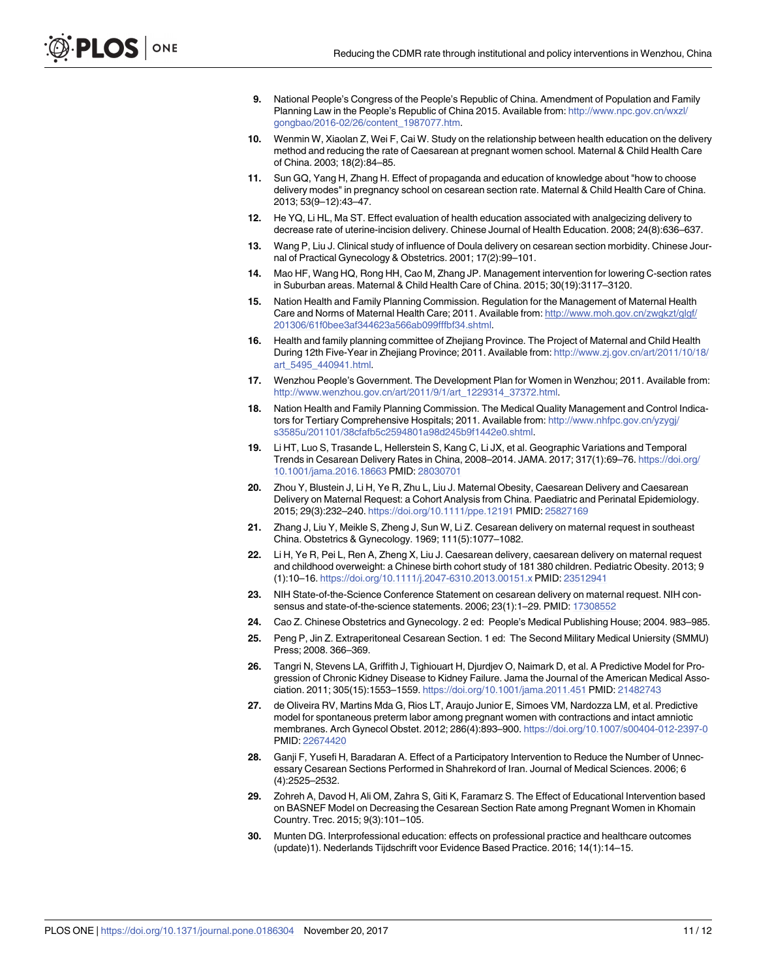- <span id="page-10-0"></span>**[9](#page-1-0).** National People's Congress of the People's Republic of China. Amendment of Population and Family Planning Law in the People's Republic of China 2015. Available from: [http://www.npc.gov.cn/wxzl/](http://www.npc.gov.cn/wxzl/gongbao/2016-02/26/content_1987077.htm) [gongbao/2016-02/26/content\\_1987077.htm](http://www.npc.gov.cn/wxzl/gongbao/2016-02/26/content_1987077.htm).
- **[10](#page-1-0).** Wenmin W, Xiaolan Z, Wei F, Cai W. Study on the relationship between health education on the delivery method and reducing the rate of Caesarean at pregnant women school. Maternal & Child Health Care of China. 2003; 18(2):84–85.
- **[11](#page-1-0).** Sun GQ, Yang H, Zhang H. Effect of propaganda and education of knowledge about "how to choose delivery modes" in pregnancy school on cesarean section rate. Maternal & Child Health Care of China. 2013; 53(9–12):43–47.
- **[12](#page-1-0).** He YQ, Li HL, Ma ST. Effect evaluation of health education associated with analgecizing delivery to decrease rate of uterine-incision delivery. Chinese Journal of Health Education. 2008; 24(8):636–637.
- **[13](#page-1-0).** Wang P, Liu J. Clinical study of influence of Doula delivery on cesarean section morbidity. Chinese Journal of Practical Gynecology & Obstetrics. 2001; 17(2):99–101.
- **[14](#page-1-0).** Mao HF, Wang HQ, Rong HH, Cao M, Zhang JP. Management intervention for lowering C-section rates in Suburban areas. Maternal & Child Health Care of China. 2015; 30(19):3117–3120.
- **[15](#page-1-0).** Nation Health and Family Planning Commission. Regulation for the Management of Maternal Health Care and Norms of Maternal Health Care; 2011. Available from: [http://www.moh.gov.cn/zwgkzt/glgf/](http://www.moh.gov.cn/zwgkzt/glgf/201306/61f0bee3af344623a566ab099fffbf34.shtml) [201306/61f0bee3af344623a566ab099fffbf34.shtml.](http://www.moh.gov.cn/zwgkzt/glgf/201306/61f0bee3af344623a566ab099fffbf34.shtml)
- **[16](#page-2-0).** Health and family planning committee of Zhejiang Province. The Project of Maternal and Child Health During 12th Five-Year in Zhejiang Province; 2011. Available from: [http://www.zj.gov.cn/art/2011/10/18/](http://www.zj.gov.cn/art/2011/10/18/art_5495_440941.html) [art\\_5495\\_440941.html](http://www.zj.gov.cn/art/2011/10/18/art_5495_440941.html).
- **[17](#page-2-0).** Wenzhou People's Government. The Development Plan for Women in Wenzhou; 2011. Available from: [http://www.wenzhou.gov.cn/art/2011/9/1/art\\_1229314\\_37372.html](http://www.wenzhou.gov.cn/art/2011/9/1/art_1229314_37372.html).
- **[18](#page-1-0).** Nation Health and Family Planning Commission. The Medical Quality Management and Control Indicators for Tertiary Comprehensive Hospitals; 2011. Available from: [http://www.nhfpc.gov.cn/yzygj/](http://www.nhfpc.gov.cn/yzygj/s3585u/201101/38cfafb5c2594801a98d245b9f1442e0.shtml) [s3585u/201101/38cfafb5c2594801a98d245b9f1442e0.shtml](http://www.nhfpc.gov.cn/yzygj/s3585u/201101/38cfafb5c2594801a98d245b9f1442e0.shtml).
- **[19](#page-1-0).** Li HT, Luo S, Trasande L, Hellerstein S, Kang C, Li JX, et al. Geographic Variations and Temporal Trends in Cesarean Delivery Rates in China, 2008–2014. JAMA. 2017; 317(1):69–76. [https://doi.org/](https://doi.org/10.1001/jama.2016.18663) [10.1001/jama.2016.18663](https://doi.org/10.1001/jama.2016.18663) PMID: [28030701](http://www.ncbi.nlm.nih.gov/pubmed/28030701)
- **[20](#page-1-0).** Zhou Y, Blustein J, Li H, Ye R, Zhu L, Liu J. Maternal Obesity, Caesarean Delivery and Caesarean Delivery on Maternal Request: a Cohort Analysis from China. Paediatric and Perinatal Epidemiology. 2015; 29(3):232–240. <https://doi.org/10.1111/ppe.12191> PMID: [25827169](http://www.ncbi.nlm.nih.gov/pubmed/25827169)
- **[21](#page-1-0).** Zhang J, Liu Y, Meikle S, Zheng J, Sun W, Li Z. Cesarean delivery on maternal request in southeast China. Obstetrics & Gynecology. 1969; 111(5):1077–1082.
- **[22](#page-1-0).** Li H, Ye R, Pei L, Ren A, Zheng X, Liu J. Caesarean delivery, caesarean delivery on maternal request and childhood overweight: a Chinese birth cohort study of 181 380 children. Pediatric Obesity. 2013; 9 (1):10–16. <https://doi.org/10.1111/j.2047-6310.2013.00151.x> PMID: [23512941](http://www.ncbi.nlm.nih.gov/pubmed/23512941)
- **[23](#page-3-0).** NIH State-of-the-Science Conference Statement on cesarean delivery on maternal request. NIH consensus and state-of-the-science statements. 2006; 23(1):1–29. PMID: [17308552](http://www.ncbi.nlm.nih.gov/pubmed/17308552)
- **[24](#page-3-0).** Cao Z. Chinese Obstetrics and Gynecology. 2 ed: People's Medical Publishing House; 2004. 983–985.
- **[25](#page-3-0).** Peng P, Jin Z. Extraperitoneal Cesarean Section. 1 ed: The Second Military Medical Uniersity (SMMU) Press; 2008. 366–369.
- **[26](#page-3-0).** Tangri N, Stevens LA, Griffith J, Tighiouart H, Djurdjev O, Naimark D, et al. A Predictive Model for Progression of Chronic Kidney Disease to Kidney Failure. Jama the Journal of the American Medical Association. 2011; 305(15):1553–1559. <https://doi.org/10.1001/jama.2011.451> PMID: [21482743](http://www.ncbi.nlm.nih.gov/pubmed/21482743)
- **[27](#page-3-0).** de Oliveira RV, Martins Mda G, Rios LT, Araujo Junior E, Simoes VM, Nardozza LM, et al. Predictive model for spontaneous preterm labor among pregnant women with contractions and intact amniotic membranes. Arch Gynecol Obstet. 2012; 286(4):893–900. <https://doi.org/10.1007/s00404-012-2397-0> PMID: [22674420](http://www.ncbi.nlm.nih.gov/pubmed/22674420)
- **[28](#page-7-0).** Ganji F, Yusefi H, Baradaran A. Effect of a Participatory Intervention to Reduce the Number of Unnecessary Cesarean Sections Performed in Shahrekord of Iran. Journal of Medical Sciences. 2006; 6 (4):2525–2532.
- **29.** Zohreh A, Davod H, Ali OM, Zahra S, Giti K, Faramarz S. The Effect of Educational Intervention based on BASNEF Model on Decreasing the Cesarean Section Rate among Pregnant Women in Khomain Country. Trec. 2015; 9(3):101–105.
- **[30](#page-7-0).** Munten DG. Interprofessional education: effects on professional practice and healthcare outcomes (update)1). Nederlands Tijdschrift voor Evidence Based Practice. 2016; 14(1):14–15.